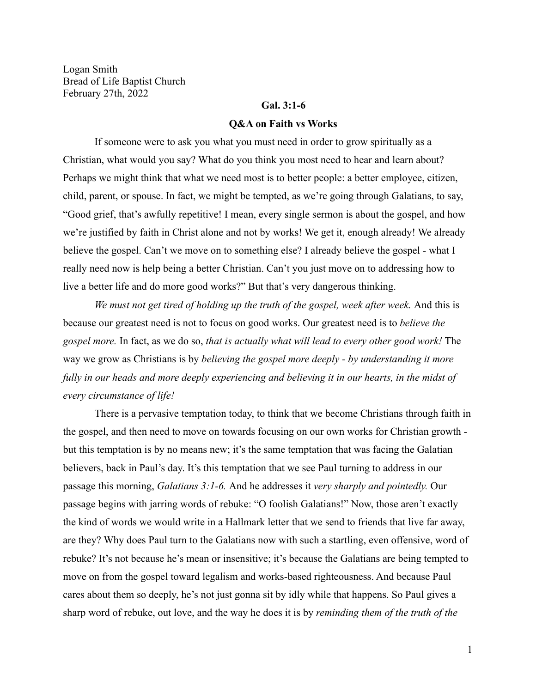Logan Smith Bread of Life Baptist Church February 27th, 2022

### **Gal. 3:1-6**

#### **Q&A on Faith vs Works**

If someone were to ask you what you must need in order to grow spiritually as a Christian, what would you say? What do you think you most need to hear and learn about? Perhaps we might think that what we need most is to better people: a better employee, citizen, child, parent, or spouse. In fact, we might be tempted, as we're going through Galatians, to say, "Good grief, that's awfully repetitive! I mean, every single sermon is about the gospel, and how we're justified by faith in Christ alone and not by works! We get it, enough already! We already believe the gospel. Can't we move on to something else? I already believe the gospel - what I really need now is help being a better Christian. Can't you just move on to addressing how to live a better life and do more good works?" But that's very dangerous thinking.

*We must not get tired of holding up the truth of the gospel, week after week.* And this is because our greatest need is not to focus on good works. Our greatest need is to *believe the gospel more.* In fact, as we do so, *that is actually what will lead to every other good work!* The way we grow as Christians is by *believing the gospel more deeply - by understanding it more fully in our heads and more deeply experiencing and believing it in our hearts, in the midst of every circumstance of life!*

There is a pervasive temptation today, to think that we become Christians through faith in the gospel, and then need to move on towards focusing on our own works for Christian growth but this temptation is by no means new; it's the same temptation that was facing the Galatian believers, back in Paul's day. It's this temptation that we see Paul turning to address in our passage this morning, *Galatians 3:1-6.* And he addresses it *very sharply and pointedly.* Our passage begins with jarring words of rebuke: "O foolish Galatians!" Now, those aren't exactly the kind of words we would write in a Hallmark letter that we send to friends that live far away, are they? Why does Paul turn to the Galatians now with such a startling, even offensive, word of rebuke? It's not because he's mean or insensitive; it's because the Galatians are being tempted to move on from the gospel toward legalism and works-based righteousness. And because Paul cares about them so deeply, he's not just gonna sit by idly while that happens. So Paul gives a sharp word of rebuke, out love, and the way he does it is by *reminding them of the truth of the*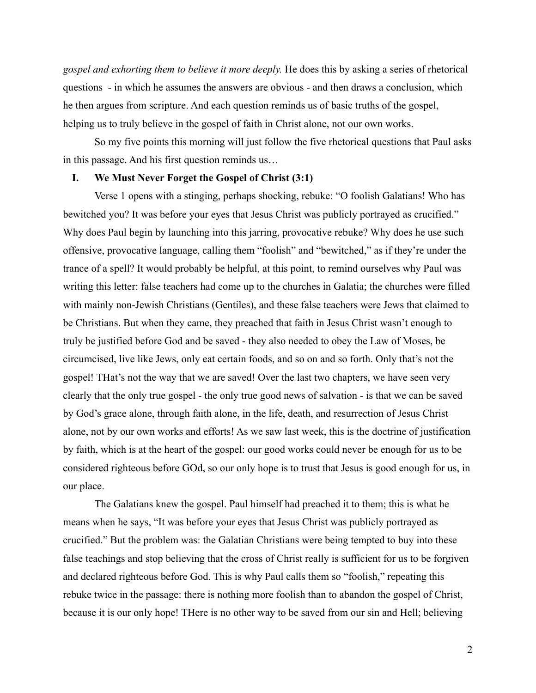*gospel and exhorting them to believe it more deeply.* He does this by asking a series of rhetorical questions - in which he assumes the answers are obvious - and then draws a conclusion, which he then argues from scripture. And each question reminds us of basic truths of the gospel, helping us to truly believe in the gospel of faith in Christ alone, not our own works.

So my five points this morning will just follow the five rhetorical questions that Paul asks in this passage. And his first question reminds us…

#### **I. We Must Never Forget the Gospel of Christ (3:1)**

Verse 1 opens with a stinging, perhaps shocking, rebuke: "O foolish Galatians! Who has bewitched you? It was before your eyes that Jesus Christ was publicly portrayed as crucified." Why does Paul begin by launching into this jarring, provocative rebuke? Why does he use such offensive, provocative language, calling them "foolish" and "bewitched," as if they're under the trance of a spell? It would probably be helpful, at this point, to remind ourselves why Paul was writing this letter: false teachers had come up to the churches in Galatia; the churches were filled with mainly non-Jewish Christians (Gentiles), and these false teachers were Jews that claimed to be Christians. But when they came, they preached that faith in Jesus Christ wasn't enough to truly be justified before God and be saved - they also needed to obey the Law of Moses, be circumcised, live like Jews, only eat certain foods, and so on and so forth. Only that's not the gospel! THat's not the way that we are saved! Over the last two chapters, we have seen very clearly that the only true gospel - the only true good news of salvation - is that we can be saved by God's grace alone, through faith alone, in the life, death, and resurrection of Jesus Christ alone, not by our own works and efforts! As we saw last week, this is the doctrine of justification by faith, which is at the heart of the gospel: our good works could never be enough for us to be considered righteous before GOd, so our only hope is to trust that Jesus is good enough for us, in our place.

The Galatians knew the gospel. Paul himself had preached it to them; this is what he means when he says, "It was before your eyes that Jesus Christ was publicly portrayed as crucified." But the problem was: the Galatian Christians were being tempted to buy into these false teachings and stop believing that the cross of Christ really is sufficient for us to be forgiven and declared righteous before God. This is why Paul calls them so "foolish," repeating this rebuke twice in the passage: there is nothing more foolish than to abandon the gospel of Christ, because it is our only hope! THere is no other way to be saved from our sin and Hell; believing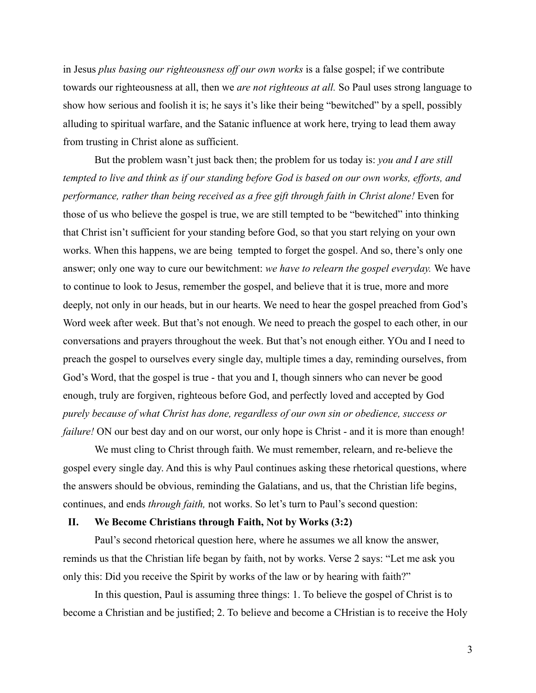in Jesus *plus basing our righteousness off our own works* is a false gospel; if we contribute towards our righteousness at all, then we *are not righteous at all.* So Paul uses strong language to show how serious and foolish it is; he says it's like their being "bewitched" by a spell, possibly alluding to spiritual warfare, and the Satanic influence at work here, trying to lead them away from trusting in Christ alone as sufficient.

But the problem wasn't just back then; the problem for us today is: *you and I are still tempted to live and think as if our standing before God is based on our own works, efforts, and performance, rather than being received as a free gift through faith in Christ alone!* Even for those of us who believe the gospel is true, we are still tempted to be "bewitched" into thinking that Christ isn't sufficient for your standing before God, so that you start relying on your own works. When this happens, we are being tempted to forget the gospel. And so, there's only one answer; only one way to cure our bewitchment: *we have to relearn the gospel everyday.* We have to continue to look to Jesus, remember the gospel, and believe that it is true, more and more deeply, not only in our heads, but in our hearts. We need to hear the gospel preached from God's Word week after week. But that's not enough. We need to preach the gospel to each other, in our conversations and prayers throughout the week. But that's not enough either. YOu and I need to preach the gospel to ourselves every single day, multiple times a day, reminding ourselves, from God's Word, that the gospel is true - that you and I, though sinners who can never be good enough, truly are forgiven, righteous before God, and perfectly loved and accepted by God *purely because of what Christ has done, regardless of our own sin or obedience, success or failure!* ON our best day and on our worst, our only hope is Christ - and it is more than enough!

We must cling to Christ through faith. We must remember, relearn, and re-believe the gospel every single day. And this is why Paul continues asking these rhetorical questions, where the answers should be obvious, reminding the Galatians, and us, that the Christian life begins, continues, and ends *through faith,* not works. So let's turn to Paul's second question:

### **II. We Become Christians through Faith, Not by Works (3:2)**

Paul's second rhetorical question here, where he assumes we all know the answer, reminds us that the Christian life began by faith, not by works. Verse 2 says: "Let me ask you only this: Did you receive the Spirit by works of the law or by hearing with faith?"

In this question, Paul is assuming three things: 1. To believe the gospel of Christ is to become a Christian and be justified; 2. To believe and become a CHristian is to receive the Holy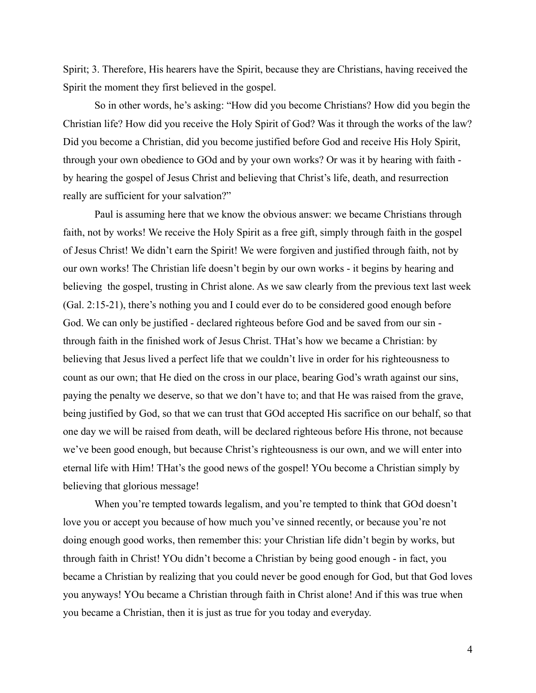Spirit; 3. Therefore, His hearers have the Spirit, because they are Christians, having received the Spirit the moment they first believed in the gospel.

So in other words, he's asking: "How did you become Christians? How did you begin the Christian life? How did you receive the Holy Spirit of God? Was it through the works of the law? Did you become a Christian, did you become justified before God and receive His Holy Spirit, through your own obedience to GOd and by your own works? Or was it by hearing with faith by hearing the gospel of Jesus Christ and believing that Christ's life, death, and resurrection really are sufficient for your salvation?"

Paul is assuming here that we know the obvious answer: we became Christians through faith, not by works! We receive the Holy Spirit as a free gift, simply through faith in the gospel of Jesus Christ! We didn't earn the Spirit! We were forgiven and justified through faith, not by our own works! The Christian life doesn't begin by our own works - it begins by hearing and believing the gospel, trusting in Christ alone. As we saw clearly from the previous text last week (Gal. 2:15-21), there's nothing you and I could ever do to be considered good enough before God. We can only be justified - declared righteous before God and be saved from our sin through faith in the finished work of Jesus Christ. THat's how we became a Christian: by believing that Jesus lived a perfect life that we couldn't live in order for his righteousness to count as our own; that He died on the cross in our place, bearing God's wrath against our sins, paying the penalty we deserve, so that we don't have to; and that He was raised from the grave, being justified by God, so that we can trust that GOd accepted His sacrifice on our behalf, so that one day we will be raised from death, will be declared righteous before His throne, not because we've been good enough, but because Christ's righteousness is our own, and we will enter into eternal life with Him! THat's the good news of the gospel! YOu become a Christian simply by believing that glorious message!

When you're tempted towards legalism, and you're tempted to think that GOd doesn't love you or accept you because of how much you've sinned recently, or because you're not doing enough good works, then remember this: your Christian life didn't begin by works, but through faith in Christ! YOu didn't become a Christian by being good enough - in fact, you became a Christian by realizing that you could never be good enough for God, but that God loves you anyways! YOu became a Christian through faith in Christ alone! And if this was true when you became a Christian, then it is just as true for you today and everyday.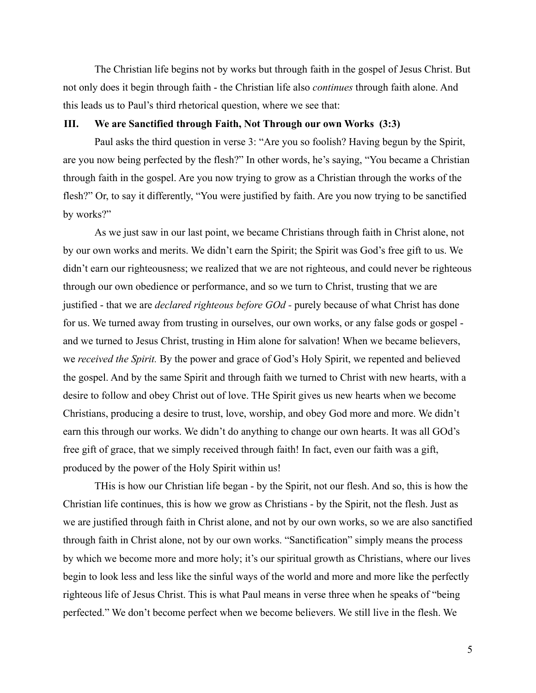The Christian life begins not by works but through faith in the gospel of Jesus Christ. But not only does it begin through faith - the Christian life also *continues* through faith alone. And this leads us to Paul's third rhetorical question, where we see that:

### **III. We are Sanctified through Faith, Not Through our own Works (3:3)**

Paul asks the third question in verse 3: "Are you so foolish? Having begun by the Spirit, are you now being perfected by the flesh?" In other words, he's saying, "You became a Christian through faith in the gospel. Are you now trying to grow as a Christian through the works of the flesh?" Or, to say it differently, "You were justified by faith. Are you now trying to be sanctified by works?"

As we just saw in our last point, we became Christians through faith in Christ alone, not by our own works and merits. We didn't earn the Spirit; the Spirit was God's free gift to us. We didn't earn our righteousness; we realized that we are not righteous, and could never be righteous through our own obedience or performance, and so we turn to Christ, trusting that we are justified - that we are *declared righteous before GOd -* purely because of what Christ has done for us. We turned away from trusting in ourselves, our own works, or any false gods or gospel and we turned to Jesus Christ, trusting in Him alone for salvation! When we became believers, we *received the Spirit.* By the power and grace of God's Holy Spirit, we repented and believed the gospel. And by the same Spirit and through faith we turned to Christ with new hearts, with a desire to follow and obey Christ out of love. THe Spirit gives us new hearts when we become Christians, producing a desire to trust, love, worship, and obey God more and more. We didn't earn this through our works. We didn't do anything to change our own hearts. It was all GOd's free gift of grace, that we simply received through faith! In fact, even our faith was a gift, produced by the power of the Holy Spirit within us!

THis is how our Christian life began - by the Spirit, not our flesh. And so, this is how the Christian life continues, this is how we grow as Christians - by the Spirit, not the flesh. Just as we are justified through faith in Christ alone, and not by our own works, so we are also sanctified through faith in Christ alone, not by our own works. "Sanctification" simply means the process by which we become more and more holy; it's our spiritual growth as Christians, where our lives begin to look less and less like the sinful ways of the world and more and more like the perfectly righteous life of Jesus Christ. This is what Paul means in verse three when he speaks of "being perfected." We don't become perfect when we become believers. We still live in the flesh. We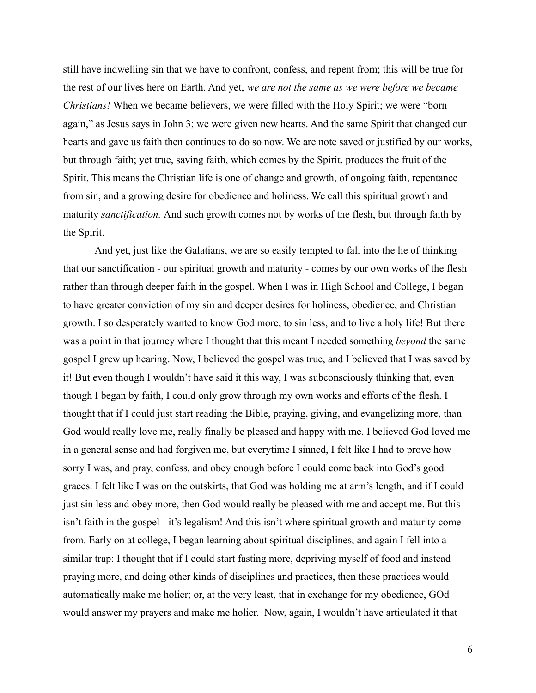still have indwelling sin that we have to confront, confess, and repent from; this will be true for the rest of our lives here on Earth. And yet, *we are not the same as we were before we became Christians!* When we became believers, we were filled with the Holy Spirit; we were "born again," as Jesus says in John 3; we were given new hearts. And the same Spirit that changed our hearts and gave us faith then continues to do so now. We are note saved or justified by our works, but through faith; yet true, saving faith, which comes by the Spirit, produces the fruit of the Spirit. This means the Christian life is one of change and growth, of ongoing faith, repentance from sin, and a growing desire for obedience and holiness. We call this spiritual growth and maturity *sanctification.* And such growth comes not by works of the flesh, but through faith by the Spirit.

And yet, just like the Galatians, we are so easily tempted to fall into the lie of thinking that our sanctification - our spiritual growth and maturity - comes by our own works of the flesh rather than through deeper faith in the gospel. When I was in High School and College, I began to have greater conviction of my sin and deeper desires for holiness, obedience, and Christian growth. I so desperately wanted to know God more, to sin less, and to live a holy life! But there was a point in that journey where I thought that this meant I needed something *beyond* the same gospel I grew up hearing. Now, I believed the gospel was true, and I believed that I was saved by it! But even though I wouldn't have said it this way, I was subconsciously thinking that, even though I began by faith, I could only grow through my own works and efforts of the flesh. I thought that if I could just start reading the Bible, praying, giving, and evangelizing more, than God would really love me, really finally be pleased and happy with me. I believed God loved me in a general sense and had forgiven me, but everytime I sinned, I felt like I had to prove how sorry I was, and pray, confess, and obey enough before I could come back into God's good graces. I felt like I was on the outskirts, that God was holding me at arm's length, and if I could just sin less and obey more, then God would really be pleased with me and accept me. But this isn't faith in the gospel - it's legalism! And this isn't where spiritual growth and maturity come from. Early on at college, I began learning about spiritual disciplines, and again I fell into a similar trap: I thought that if I could start fasting more, depriving myself of food and instead praying more, and doing other kinds of disciplines and practices, then these practices would automatically make me holier; or, at the very least, that in exchange for my obedience, GOd would answer my prayers and make me holier. Now, again, I wouldn't have articulated it that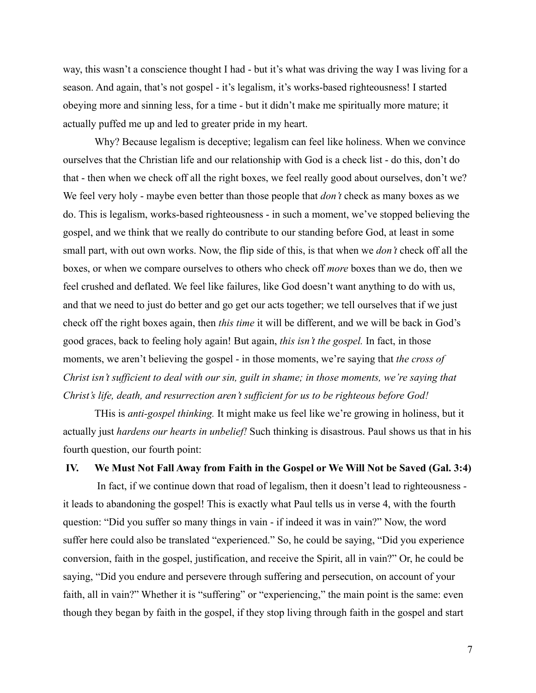way, this wasn't a conscience thought I had - but it's what was driving the way I was living for a season. And again, that's not gospel - it's legalism, it's works-based righteousness! I started obeying more and sinning less, for a time - but it didn't make me spiritually more mature; it actually puffed me up and led to greater pride in my heart.

Why? Because legalism is deceptive; legalism can feel like holiness. When we convince ourselves that the Christian life and our relationship with God is a check list - do this, don't do that - then when we check off all the right boxes, we feel really good about ourselves, don't we? We feel very holy - maybe even better than those people that *don't* check as many boxes as we do. This is legalism, works-based righteousness - in such a moment, we've stopped believing the gospel, and we think that we really do contribute to our standing before God, at least in some small part, with out own works. Now, the flip side of this, is that when we *don't* check off all the boxes, or when we compare ourselves to others who check off *more* boxes than we do, then we feel crushed and deflated. We feel like failures, like God doesn't want anything to do with us, and that we need to just do better and go get our acts together; we tell ourselves that if we just check off the right boxes again, then *this time* it will be different, and we will be back in God's good graces, back to feeling holy again! But again, *this isn't the gospel.* In fact, in those moments, we aren't believing the gospel - in those moments, we're saying that *the cross of Christ isn't sufficient to deal with our sin, guilt in shame; in those moments, we're saying that Christ's life, death, and resurrection aren't sufficient for us to be righteous before God!*

THis is *anti-gospel thinking.* It might make us feel like we're growing in holiness, but it actually just *hardens our hearts in unbelief!* Such thinking is disastrous. Paul shows us that in his fourth question, our fourth point:

## **IV. We Must Not Fall Away from Faith in the Gospel or We Will Not be Saved (Gal. 3:4)**

In fact, if we continue down that road of legalism, then it doesn't lead to righteousness it leads to abandoning the gospel! This is exactly what Paul tells us in verse 4, with the fourth question: "Did you suffer so many things in vain - if indeed it was in vain?" Now, the word suffer here could also be translated "experienced." So, he could be saying, "Did you experience conversion, faith in the gospel, justification, and receive the Spirit, all in vain?" Or, he could be saying, "Did you endure and persevere through suffering and persecution, on account of your faith, all in vain?" Whether it is "suffering" or "experiencing," the main point is the same: even though they began by faith in the gospel, if they stop living through faith in the gospel and start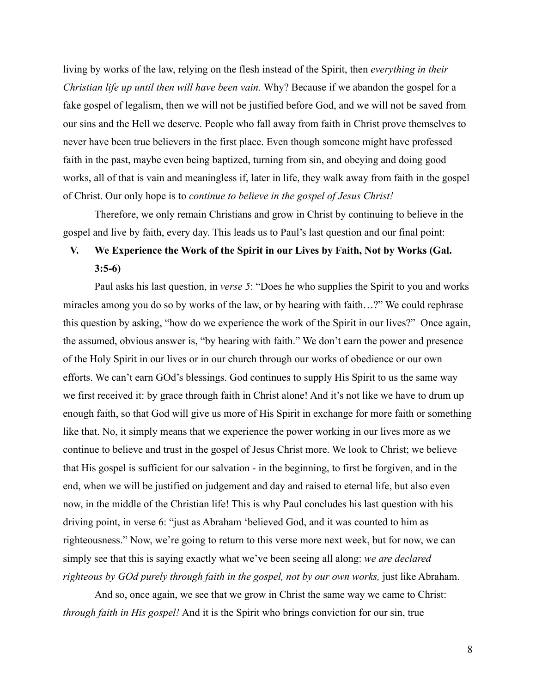living by works of the law, relying on the flesh instead of the Spirit, then *everything in their Christian life up until then will have been vain.* Why? Because if we abandon the gospel for a fake gospel of legalism, then we will not be justified before God, and we will not be saved from our sins and the Hell we deserve. People who fall away from faith in Christ prove themselves to never have been true believers in the first place. Even though someone might have professed faith in the past, maybe even being baptized, turning from sin, and obeying and doing good works, all of that is vain and meaningless if, later in life, they walk away from faith in the gospel of Christ. Our only hope is to *continue to believe in the gospel of Jesus Christ!*

Therefore, we only remain Christians and grow in Christ by continuing to believe in the gospel and live by faith, every day. This leads us to Paul's last question and our final point:

# **V. We Experience the Work of the Spirit in our Lives by Faith, Not by Works (Gal. 3:5-6)**

Paul asks his last question, in *verse 5*: "Does he who supplies the Spirit to you and works miracles among you do so by works of the law, or by hearing with faith…?" We could rephrase this question by asking, "how do we experience the work of the Spirit in our lives?" Once again, the assumed, obvious answer is, "by hearing with faith." We don't earn the power and presence of the Holy Spirit in our lives or in our church through our works of obedience or our own efforts. We can't earn GOd's blessings. God continues to supply His Spirit to us the same way we first received it: by grace through faith in Christ alone! And it's not like we have to drum up enough faith, so that God will give us more of His Spirit in exchange for more faith or something like that. No, it simply means that we experience the power working in our lives more as we continue to believe and trust in the gospel of Jesus Christ more. We look to Christ; we believe that His gospel is sufficient for our salvation - in the beginning, to first be forgiven, and in the end, when we will be justified on judgement and day and raised to eternal life, but also even now, in the middle of the Christian life! This is why Paul concludes his last question with his driving point, in verse 6: "just as Abraham 'believed God, and it was counted to him as righteousness." Now, we're going to return to this verse more next week, but for now, we can simply see that this is saying exactly what we've been seeing all along: *we are declared righteous by GOd purely through faith in the gospel, not by our own works,* just like Abraham.

And so, once again, we see that we grow in Christ the same way we came to Christ: *through faith in His gospel!* And it is the Spirit who brings conviction for our sin, true